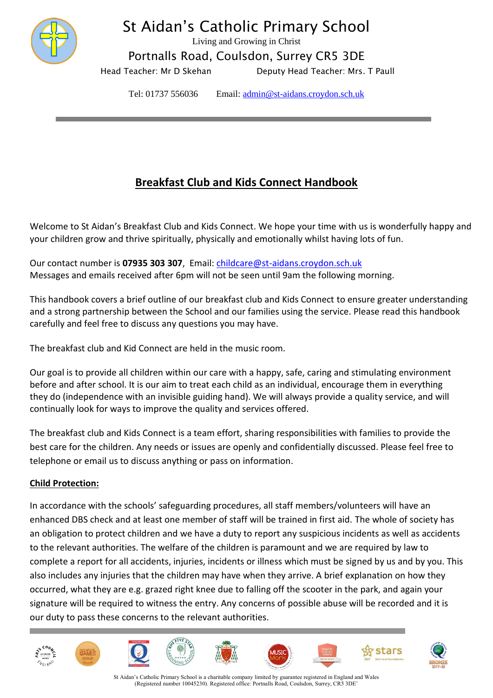

# St Aidan's Catholic Primary School

Living and Growing in Christ

Portnalls Road, Coulsdon, Surrey CR5 3DE

Head Teacher: Mr D Skehan **Deputy Head Teacher: Mrs. T Paull** 

Tel: 01737 556036 Email: [admin@st-aidans.croydon.sch.uk](mailto:admin@st-aidans.croydon.sch.uk)

# **Breakfast Club and Kids Connect Handbook**

Welcome to St Aidan's Breakfast Club and Kids Connect. We hope your time with us is wonderfully happy and your children grow and thrive spiritually, physically and emotionally whilst having lots of fun.

Our contact number is **07935 303 307**, Email: [childcare@st-aidans.croydon.sch.uk](mailto:childcare@st-aidans.croydon.sch.uk) Messages and emails received after 6pm will not be seen until 9am the following morning.

This handbook covers a brief outline of our breakfast club and Kids Connect to ensure greater understanding and a strong partnership between the School and our families using the service. Please read this handbook carefully and feel free to discuss any questions you may have.

The breakfast club and Kid Connect are held in the music room.

Our goal is to provide all children within our care with a happy, safe, caring and stimulating environment before and after school. It is our aim to treat each child as an individual, encourage them in everything they do (independence with an invisible guiding hand). We will always provide a quality service, and will continually look for ways to improve the quality and services offered.

The breakfast club and Kids Connect is a team effort, sharing responsibilities with families to provide the best care for the children. Any needs or issues are openly and confidentially discussed. Please feel free to telephone or email us to discuss anything or pass on information.

# **Child Protection:**

In accordance with the schools' safeguarding procedures, all staff members/volunteers will have an enhanced DBS check and at least one member of staff will be trained in first aid. The whole of society has an obligation to protect children and we have a duty to report any suspicious incidents as well as accidents to the relevant authorities. The welfare of the children is paramount and we are required by law to complete a report for all accidents, injuries, incidents or illness which must be signed by us and by you. This also includes any injuries that the children may have when they arrive. A brief explanation on how they occurred, what they are e.g. grazed right knee due to falling off the scooter in the park, and again your signature will be required to witness the entry. Any concerns of possible abuse will be recorded and it is our duty to pass these concerns to the relevant authorities.



St Aidan's Catholic Primary School is a charitable company limited by guarantee registered in England and Wales (Registered number 10045230). Registered office: Portnalls Road, Coulsdon, Surrey, CR5 3DE'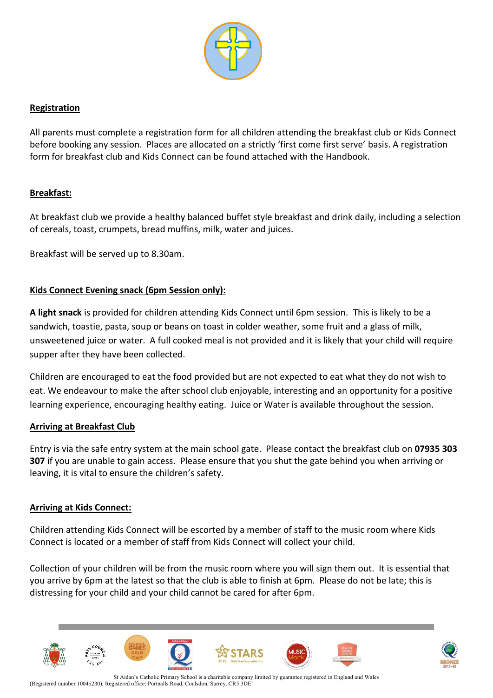

# **Registration**

All parents must complete a registration form for all children attending the breakfast club or Kids Connect before booking any session. Places are allocated on a strictly 'first come first serve' basis. A registration form for breakfast club and Kids Connect can be found attached with the Handbook.

# **Breakfast:**

At breakfast club we provide a healthy balanced buffet style breakfast and drink daily, including a selection of cereals, toast, crumpets, bread muffins, milk, water and juices.

Breakfast will be served up to 8.30am.

# **Kids Connect Evening snack (6pm Session only):**

**A light snack** is provided for children attending Kids Connect until 6pm session. This is likely to be a sandwich, toastie, pasta, soup or beans on toast in colder weather, some fruit and a glass of milk, unsweetened juice or water. A full cooked meal is not provided and it is likely that your child will require supper after they have been collected.

Children are encouraged to eat the food provided but are not expected to eat what they do not wish to eat. We endeavour to make the after school club enjoyable, interesting and an opportunity for a positive learning experience, encouraging healthy eating. Juice or Water is available throughout the session.

#### **Arriving at Breakfast Club**

Entry is via the safe entry system at the main school gate. Please contact the breakfast club on **07935 303 307** if you are unable to gain access. Please ensure that you shut the gate behind you when arriving or leaving, it is vital to ensure the children's safety.

#### **Arriving at Kids Connect:**

Children attending Kids Connect will be escorted by a member of staff to the music room where Kids Connect is located or a member of staff from Kids Connect will collect your child.

Collection of your children will be from the music room where you will sign them out. It is essential that you arrive by 6pm at the latest so that the club is able to finish at 6pm. Please do not be late; this is distressing for your child and your child cannot be cared for after 6pm.



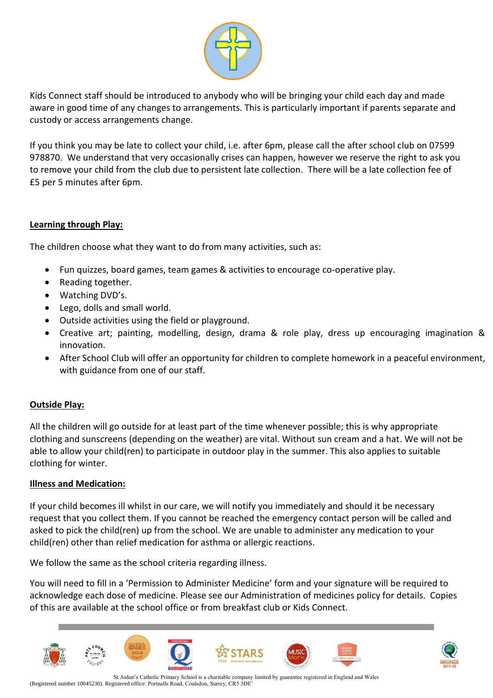

Kids Connect staff should be introduced to anybody who will be bringing your child each day and made aware in good time of any changes to arrangements. This is particularly important if parents separate and custody or access arrangements change.

If you think you may be late to collect your child, i.e. after 6pm, please call the after school club on 07599 978870. We understand that very occasionally crises can happen, however we reserve the right to ask you to remove your child from the club due to persistent late collection. There will be a late collection fee of £5 per 5 minutes after 6pm.

# **Learning through Play:**

The children choose what they want to do from many activities, such as:

- Fun quizzes, board games, team games & activities to encourage co-operative play.
- Reading together.
- Watching DVD's.
- Lego, dolls and small world.
- Outside activities using the field or playground.
- Creative art; painting, modelling, design, drama & role play, dress up encouraging imagination & innovation.
- After School Club will offer an opportunity for children to complete homework in a peaceful environment, with guidance from one of our staff.

#### **Outside Play:**

All the children will go outside for at least part of the time whenever possible; this is why appropriate clothing and sunscreens (depending on the weather) are vital. Without sun cream and a hat. We will not be able to allow your child(ren) to participate in outdoor play in the summer. This also applies to suitable clothing for winter.

#### **Illness and Medication:**

If your child becomes ill whilst in our care, we will notify you immediately and should it be necessary request that you collect them. If you cannot be reached the emergency contact person will be called and asked to pick the child(ren) up from the school. We are unable to administer any medication to your child(ren) other than relief medication for asthma or allergic reactions.

We follow the same as the school criteria regarding illness.

You will need to fill in a 'Permission to Administer Medicine' form and your signature will be required to acknowledge each dose of medicine. Please see our Administration of medicines policy for details. Copies of this are available at the school office or from breakfast club or Kids Connect.

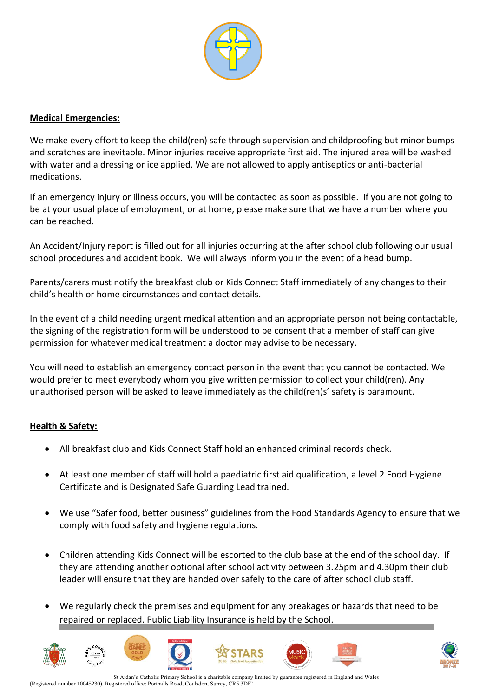

## **Medical Emergencies:**

We make every effort to keep the child(ren) safe through supervision and childproofing but minor bumps and scratches are inevitable. Minor injuries receive appropriate first aid. The injured area will be washed with water and a dressing or ice applied. We are not allowed to apply antiseptics or anti-bacterial medications.

If an emergency injury or illness occurs, you will be contacted as soon as possible. If you are not going to be at your usual place of employment, or at home, please make sure that we have a number where you can be reached.

An Accident/Injury report is filled out for all injuries occurring at the after school club following our usual school procedures and accident book. We will always inform you in the event of a head bump.

Parents/carers must notify the breakfast club or Kids Connect Staff immediately of any changes to their child's health or home circumstances and contact details.

In the event of a child needing urgent medical attention and an appropriate person not being contactable, the signing of the registration form will be understood to be consent that a member of staff can give permission for whatever medical treatment a doctor may advise to be necessary.

You will need to establish an emergency contact person in the event that you cannot be contacted. We would prefer to meet everybody whom you give written permission to collect your child(ren). Any unauthorised person will be asked to leave immediately as the child(ren)s' safety is paramount.

# **Health & Safety:**

- All breakfast club and Kids Connect Staff hold an enhanced criminal records check.
- At least one member of staff will hold a paediatric first aid qualification, a level 2 Food Hygiene Certificate and is Designated Safe Guarding Lead trained.
- We use "Safer food, better business" guidelines from the Food Standards Agency to ensure that we comply with food safety and hygiene regulations.
- Children attending Kids Connect will be escorted to the club base at the end of the school day. If they are attending another optional after school activity between 3.25pm and 4.30pm their club leader will ensure that they are handed over safely to the care of after school club staff.
- We regularly check the premises and equipment for any breakages or hazards that need to be repaired or replaced. Public Liability Insurance is held by the School.









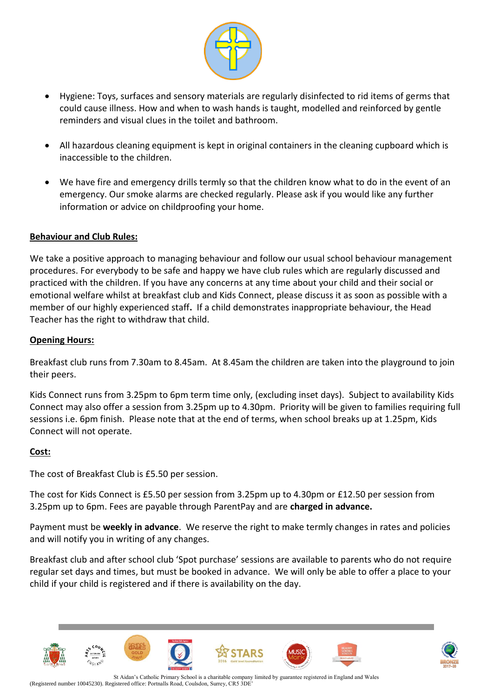

- Hygiene: Toys, surfaces and sensory materials are regularly disinfected to rid items of germs that could cause illness. How and when to wash hands is taught, modelled and reinforced by gentle reminders and visual clues in the toilet and bathroom.
- All hazardous cleaning equipment is kept in original containers in the cleaning cupboard which is inaccessible to the children.
- We have fire and emergency drills termly so that the children know what to do in the event of an emergency. Our smoke alarms are checked regularly. Please ask if you would like any further information or advice on childproofing your home.

# **Behaviour and Club Rules:**

We take a positive approach to managing behaviour and follow our usual school behaviour management procedures. For everybody to be safe and happy we have club rules which are regularly discussed and practiced with the children. If you have any concerns at any time about your child and their social or emotional welfare whilst at breakfast club and Kids Connect, please discuss it as soon as possible with a member of our highly experienced staff**.** If a child demonstrates inappropriate behaviour, the Head Teacher has the right to withdraw that child.

#### **Opening Hours:**

Breakfast club runs from 7.30am to 8.45am. At 8.45am the children are taken into the playground to join their peers.

Kids Connect runs from 3.25pm to 6pm term time only, (excluding inset days). Subject to availability Kids Connect may also offer a session from 3.25pm up to 4.30pm. Priority will be given to families requiring full sessions i.e. 6pm finish. Please note that at the end of terms, when school breaks up at 1.25pm, Kids Connect will not operate.

#### **Cost:**

The cost of Breakfast Club is £5.50 per session.

The cost for Kids Connect is £5.50 per session from 3.25pm up to 4.30pm or £12.50 per session from 3.25pm up to 6pm. Fees are payable through ParentPay and are **charged in advance.** 

Payment must be **weekly in advance**. We reserve the right to make termly changes in rates and policies and will notify you in writing of any changes.

Breakfast club and after school club 'Spot purchase' sessions are available to parents who do not require regular set days and times, but must be booked in advance. We will only be able to offer a place to your child if your child is registered and if there is availability on the day.



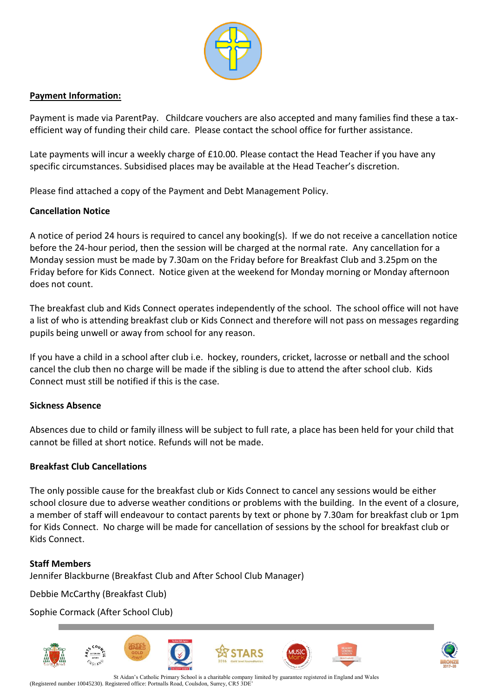

## **Payment Information:**

Payment is made via ParentPay. Childcare vouchers are also accepted and many families find these a taxefficient way of funding their child care. Please contact the school office for further assistance.

Late payments will incur a weekly charge of £10.00. Please contact the Head Teacher if you have any specific circumstances. Subsidised places may be available at the Head Teacher's discretion.

Please find attached a copy of the Payment and Debt Management Policy.

# **Cancellation Notice**

A notice of period 24 hours is required to cancel any booking(s). If we do not receive a cancellation notice before the 24-hour period, then the session will be charged at the normal rate. Any cancellation for a Monday session must be made by 7.30am on the Friday before for Breakfast Club and 3.25pm on the Friday before for Kids Connect. Notice given at the weekend for Monday morning or Monday afternoon does not count.

The breakfast club and Kids Connect operates independently of the school. The school office will not have a list of who is attending breakfast club or Kids Connect and therefore will not pass on messages regarding pupils being unwell or away from school for any reason.

If you have a child in a school after club i.e. hockey, rounders, cricket, lacrosse or netball and the school cancel the club then no charge will be made if the sibling is due to attend the after school club. Kids Connect must still be notified if this is the case.

#### **Sickness Absence**

Absences due to child or family illness will be subject to full rate, a place has been held for your child that cannot be filled at short notice. Refunds will not be made.

# **Breakfast Club Cancellations**

The only possible cause for the breakfast club or Kids Connect to cancel any sessions would be either school closure due to adverse weather conditions or problems with the building. In the event of a closure, a member of staff will endeavour to contact parents by text or phone by 7.30am for breakfast club or 1pm for Kids Connect. No charge will be made for cancellation of sessions by the school for breakfast club or Kids Connect.

#### **Staff Members**

Jennifer Blackburne (Breakfast Club and After School Club Manager)

Debbie McCarthy (Breakfast Club)

Sophie Cormack (After School Club)